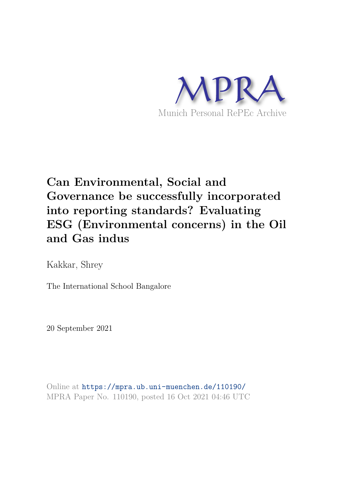

# **Can Environmental, Social and Governance be successfully incorporated into reporting standards? Evaluating ESG (Environmental concerns) in the Oil and Gas indus**

Kakkar, Shrey

The International School Bangalore

20 September 2021

Online at https://mpra.ub.uni-muenchen.de/110190/ MPRA Paper No. 110190, posted 16 Oct 2021 04:46 UTC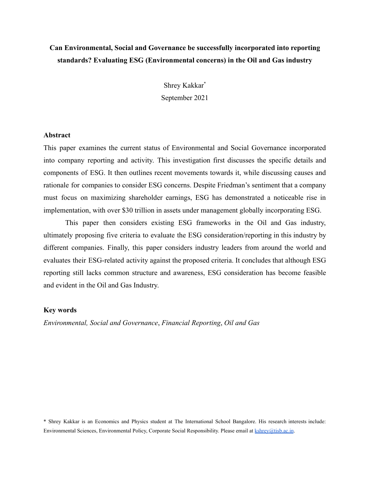## **Can Environmental, Social and Governance be successfully incorporated into reporting standards? Evaluating ESG (Environmental concerns) in the Oil and Gas industry**

Shrey Kakkar\* September 2021

#### **Abstract**

This paper examines the current status of Environmental and Social Governance incorporated into company reporting and activity. This investigation first discusses the specific details and components of ESG. It then outlines recent movements towards it, while discussing causes and rationale for companies to consider ESG concerns. Despite Friedman's sentiment that a company must focus on maximizing shareholder earnings, ESG has demonstrated a noticeable rise in implementation, with over \$30 trillion in assets under management globally incorporating ESG.

This paper then considers existing ESG frameworks in the Oil and Gas industry, ultimately proposing five criteria to evaluate the ESG consideration/reporting in this industry by different companies. Finally, this paper considers industry leaders from around the world and evaluates their ESG-related activity against the proposed criteria. It concludes that although ESG reporting still lacks common structure and awareness, ESG consideration has become feasible and evident in the Oil and Gas Industry.

#### **Key words**

*Environmental, Social and Governance*, *Financial Reporting*, *Oil and Gas*

\* Shrey Kakkar is an Economics and Physics student at The International School Bangalore. His research interests include: Environmental Sciences, Environmental Policy, Corporate Social Responsibility. Please email at [kshrey@tisb.ac.in](mailto:kshrey@tisb.ac.in).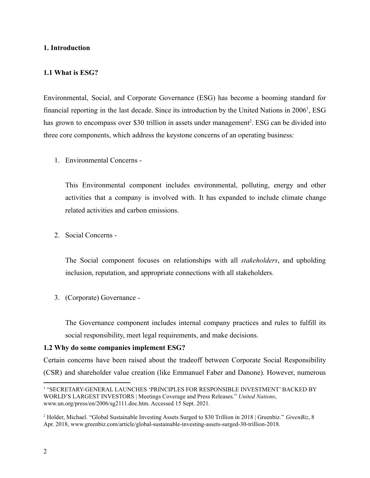## **1. Introduction**

## **1.1 What is ESG?**

Environmental, Social, and Corporate Governance (ESG) has become a booming standard for financial reporting in the last decade. Since its introduction by the United Nations in 2006<sup>1</sup>, ESG has grown to encompass over \$30 trillion in assets under management<sup>2</sup>. ESG can be divided into three core components, which address the keystone concerns of an operating business:

1. Environmental Concerns -

This Environmental component includes environmental, polluting, energy and other activities that a company is involved with. It has expanded to include climate change related activities and carbon emissions.

2. Social Concerns -

The Social component focuses on relationships with all *stakeholders*, and upholding inclusion, reputation, and appropriate connections with all stakeholders.

3. (Corporate) Governance -

The Governance component includes internal company practices and rules to fulfill its social responsibility, meet legal requirements, and make decisions.

## **1.2 Why do some companies implement ESG?**

Certain concerns have been raised about the tradeoff between Corporate Social Responsibility (CSR) and shareholder value creation (like Emmanuel Faber and Danone). However, numerous

<sup>1</sup> "SECRETARY-GENERAL LAUNCHES 'PRINCIPLES FOR RESPONSIBLE INVESTMENT' BACKED BY WORLD'S LARGEST INVESTORS | Meetings Coverage and Press Releases." *United Nations*, www.un.org/press/en/2006/sg2111.doc.htm. Accessed 15 Sept. 2021.

<sup>2</sup> Holder, Michael. "Global Sustainable Investing Assets Surged to \$30 Trillion in 2018 | Greenbiz." *GreenBiz*, 8 Apr. 2018, www.greenbiz.com/article/global-sustainable-investing-assets-surged-30-trillion-2018.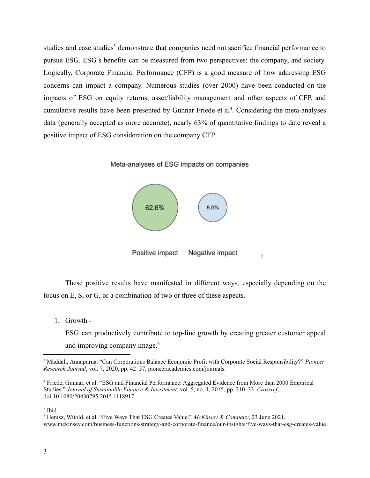studies and case studies<sup>3</sup> demonstrate that companies need not sacrifice financial performance to pursue ESG. ESG's benefits can be measured from two perspectives: the company, and society. Logically, Corporate Financial Performance (CFP) is a good measure of how addressing ESG concerns can impact a company. Numerous studies (over 2000) have been conducted on the impacts of ESG on equity returns, asset/liability management and other aspects of CFP, and cumulative results have been presented by Gunnar Friede et al<sup>4</sup>. Considering the meta-analyses data (generally accepted as more accurate), nearly 63% of quantitative findings to date reveal a positive impact of ESG consideration on the company CFP.

Meta-analyses of ESG impacts on companies



These positive results have manifested in different ways, especially depending on the focus on E, S, or G, or a combination of two or three of these aspects.

1. Growth -

ESG can productively contribute to top-line growth by creating greater customer appeal and improving company image.<sup>6</sup>

5 Ibid.

<sup>3</sup> Maddali, Annapurna. "Can Corporations Balance Economic Profit with Corporate Social Responsibility?" *Pioneer Research Journal*, vol. 7, 2020, pp. 42–57, pioneeracademics.com/journals.

<sup>4</sup> Friede, Gunnar, et al. "ESG and Financial Performance: Aggregated Evidence from More than 2000 Empirical Studies." *Journal of Sustainable Finance & Investment*, vol. 5, no. 4, 2015, pp. 210–33. *Crossref*, doi:10.1080/20430795.2015.1118917.

<sup>6</sup> Henisz, Witold, et al. "Five Ways That ESG Creates Value." *McKinsey & Company*, 23 June 2021, www.mckinsey.com/business-functions/strategy-and-corporate-finance/our-insights/five-ways-that-esg-creates-value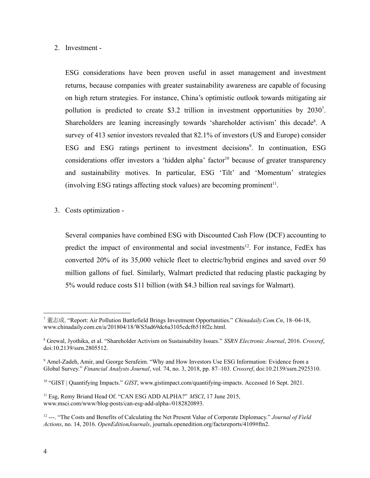## 2. Investment -

ESG considerations have been proven useful in asset management and investment returns, because companies with greater sustainability awareness are capable of focusing on high return strategies. For instance, China's optimistic outlook towards mitigating air pollution is predicted to create \$3.2 trillion in investment opportunities by 2030<sup>7</sup>. Shareholders are leaning increasingly towards 'shareholder activism' this decade<sup>8</sup>. A survey of 413 senior investors revealed that 82.1% of investors (US and Europe) consider ESG and ESG ratings pertinent to investment decisions<sup>9</sup>. In continuation, ESG considerations offer investors a 'hidden alpha' factor<sup>10</sup> because of greater transparency and sustainability motives. In particular, ESG 'Tilt' and 'Momentum' strategies  $(involving ESG ratings affecting stock values)$  are becoming prominent<sup>11</sup>.

3. Costs optimization -

Several companies have combined ESG with Discounted Cash Flow (DCF) accounting to predict the impact of environmental and social investments<sup>12</sup>. For instance, FedEx has converted 20% of its 35,000 vehicle fleet to electric/hybrid engines and saved over 50 million gallons of fuel. Similarly, Walmart predicted that reducing plastic packaging by 5% would reduce costs \$11 billion (with \$4.3 billion real savings for Walmart).

<sup>7</sup> 董志成. "Report: Air Pollution Battlefield Brings Investment Opportunities." *Chinadaily.Com.Cn*, 18–04-18, www.chinadaily.com.cn/a/201804/18/WS5ad69dc6a3105cdcf6518f2c.html.

<sup>8</sup> Grewal, Jyothika, et al. "Shareholder Activism on Sustainability Issues." *SSRN Electronic Journal*, 2016. *Crossref*, doi:10.2139/ssrn.2805512.

<sup>9</sup> Amel-Zadeh, Amir, and George Serafeim. "Why and How Investors Use ESG Information: Evidence from a Global Survey." *Financial Analysts Journal*, vol. 74, no. 3, 2018, pp. 87–103. *Crossref*, doi:10.2139/ssrn.2925310.

<sup>10</sup> "GIST | Quantifying Impacts." *GIST*, www.gistimpact.com/quantifying-impacts. Accessed 16 Sept. 2021.

<sup>11</sup> Esg, Remy Briand Head Of. "CAN ESG ADD ALPHA?" *MSCI*, 17 June 2015, www.msci.com/www/blog-posts/can-esg-add-alpha-/0182820893.

<sup>12</sup> ---. "The Costs and Benefits of Calculating the Net Present Value of Corporate Diplomacy." *Journal of Field Actions*, no. 14, 2016. *OpenEditionJournals*, journals.openedition.org/factsreports/4109#ftn2.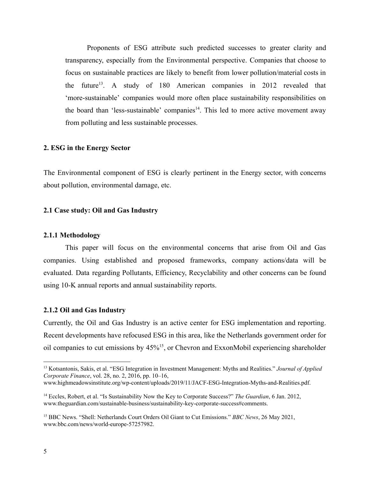Proponents of ESG attribute such predicted successes to greater clarity and transparency, especially from the Environmental perspective. Companies that choose to focus on sustainable practices are likely to benefit from lower pollution/material costs in the future<sup>13</sup>. A study of 180 American companies in 2012 revealed that 'more-sustainable' companies would more often place sustainability responsibilities on the board than 'less-sustainable' companies $14$ . This led to more active movement away from polluting and less sustainable processes.

#### **2. ESG in the Energy Sector**

The Environmental component of ESG is clearly pertinent in the Energy sector, with concerns about pollution, environmental damage, etc.

#### **2.1 Case study: Oil and Gas Industry**

#### **2.1.1 Methodology**

This paper will focus on the environmental concerns that arise from Oil and Gas companies. Using established and proposed frameworks, company actions/data will be evaluated. Data regarding Pollutants, Efficiency, Recyclability and other concerns can be found using 10-K annual reports and annual sustainability reports.

#### **2.1.2 Oil and Gas Industry**

Currently, the Oil and Gas Industry is an active center for ESG implementation and reporting. Recent developments have refocused ESG in this area, like the Netherlands government order for oil companies to cut emissions by 45%<sup>15</sup>, or Chevron and ExxonMobil experiencing shareholder

<sup>13</sup> Kotsantonis, Sakis, et al. "ESG Integration in Investment Management: Myths and Realities." *Journal of Applied Corporate Finance*, vol. 28, no. 2, 2016, pp. 10–16, www.highmeadowsinstitute.org/wp-content/uploads/2019/11/JACF-ESG-Integration-Myths-and-Realities.pdf.

<sup>14</sup> Eccles, Robert, et al. "Is Sustainability Now the Key to Corporate Success?" *The Guardian*, 6 Jan. 2012, www.theguardian.com/sustainable-business/sustainability-key-corporate-success#comments.

<sup>15</sup> BBC News. "Shell: Netherlands Court Orders Oil Giant to Cut Emissions." *BBC News*, 26 May 2021, www.bbc.com/news/world-europe-57257982.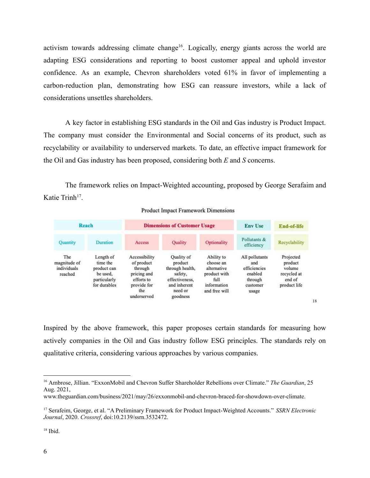activism towards addressing climate change<sup>16</sup>. Logically, energy giants across the world are adapting ESG considerations and reporting to boost customer appeal and uphold investor confidence. As an example, Chevron shareholders voted 61% in favor of implementing a carbon-reduction plan, demonstrating how ESG can reassure investors, while a lack of considerations unsettles shareholders.

A key factor in establishing ESG standards in the Oil and Gas industry is Product Impact. The company must consider the Environmental and Social concerns of its product, such as recyclability or availability to underserved markets. To date, an effective impact framework for the Oil and Gas industry has been proposed, considering both *E* and *S* concerns.

The framework relies on Impact-Weighted accounting, proposed by George Serafaim and Katie Trinh<sup>17</sup>.

| Reach                                         |                                                                                  |                                                                                                          | <b>Dimensions of Customer Usage</b>                                                                          |                                                                                                | <b>Env Use</b>                                                                   | End-of-life                                                             |
|-----------------------------------------------|----------------------------------------------------------------------------------|----------------------------------------------------------------------------------------------------------|--------------------------------------------------------------------------------------------------------------|------------------------------------------------------------------------------------------------|----------------------------------------------------------------------------------|-------------------------------------------------------------------------|
| Quantity                                      | Duration                                                                         | Access                                                                                                   | <b>Quality</b>                                                                                               | Optionality                                                                                    | Pollutants &<br>efficiency                                                       | Recyclability                                                           |
| The<br>magnitude of<br>individuals<br>reached | Length of<br>time the<br>product can<br>be used.<br>particularly<br>for durables | Accessibility<br>of product<br>through<br>pricing and<br>efforts to<br>provide for<br>the<br>underserved | Quality of<br>product<br>through health,<br>safety.<br>effectiveness.<br>and inherent<br>need or<br>goodness | Ability to<br>choose an<br>alternative<br>product with<br>full<br>information<br>and free will | All pollutants<br>and<br>efficiencies<br>enabled<br>through<br>customer<br>usage | Projected<br>product<br>volume<br>recycled at<br>end of<br>product life |

**Product Impact Framework Dimensions** 

Inspired by the above framework, this paper proposes certain standards for measuring how actively companies in the Oil and Gas industry follow ESG principles. The standards rely on qualitative criteria, considering various approaches by various companies.

18

<sup>16</sup> Ambrose, Jillian. "ExxonMobil and Chevron Suffer Shareholder Rebellions over Climate." *The Guardian*, 25 Aug. 2021,

www.theguardian.com/business/2021/may/26/exxonmobil-and-chevron-braced-for-showdown-over-climate.

<sup>17</sup> Serafeim, George, et al. "A Preliminary Framework for Product Impact-Weighted Accounts." *SSRN Electronic Journal*, 2020. *Crossref*, doi:10.2139/ssrn.3532472.

 $18$  Ibid.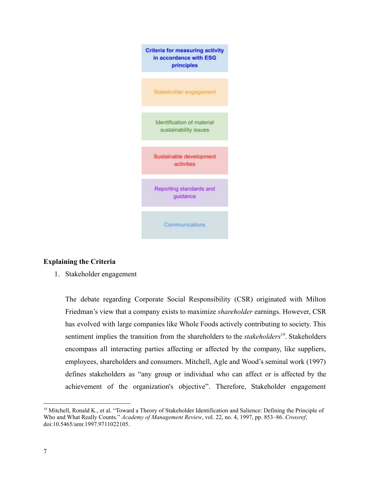

## **Explaining the Criteria**

1. Stakeholder engagement

The debate regarding Corporate Social Responsibility (CSR) originated with Milton Friedman's view that a company exists to maximize *shareholder* earnings. However, CSR has evolved with large companies like Whole Foods actively contributing to society. This sentiment implies the transition from the shareholders to the *stakeholders*<sup>19</sup>. Stakeholders encompass all interacting parties affecting or affected by the company, like suppliers, employees, shareholders and consumers. Mitchell, Agle and Wood's seminal work (1997) defines stakeholders as "any group or individual who can affect or is affected by the achievement of the organization's objective". Therefore, Stakeholder engagement

<sup>&</sup>lt;sup>19</sup> Mitchell, Ronald K., et al. "Toward a Theory of Stakeholder Identification and Salience: Defining the Principle of Who and What Really Counts." *Academy of Management Review*, vol. 22, no. 4, 1997, pp. 853–86. *Crossref*, doi:10.5465/amr.1997.9711022105.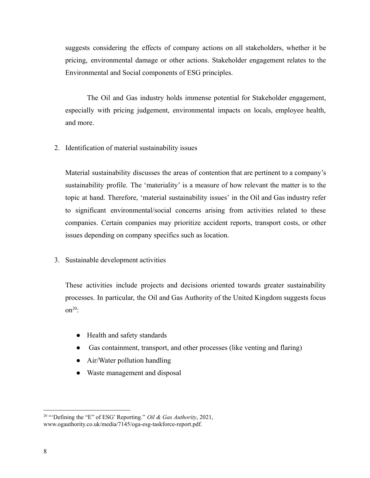suggests considering the effects of company actions on all stakeholders, whether it be pricing, environmental damage or other actions. Stakeholder engagement relates to the Environmental and Social components of ESG principles.

The Oil and Gas industry holds immense potential for Stakeholder engagement, especially with pricing judgement, environmental impacts on locals, employee health, and more.

2. Identification of material sustainability issues

Material sustainability discusses the areas of contention that are pertinent to a company's sustainability profile. The 'materiality' is a measure of how relevant the matter is to the topic at hand. Therefore, 'material sustainability issues' in the Oil and Gas industry refer to significant environmental/social concerns arising from activities related to these companies. Certain companies may prioritize accident reports, transport costs, or other issues depending on company specifics such as location.

3. Sustainable development activities

These activities include projects and decisions oriented towards greater sustainability processes. In particular, the Oil and Gas Authority of the United Kingdom suggests focus  $on<sup>20</sup>$ 

- Health and safety standards
- Gas containment, transport, and other processes (like venting and flaring)
- Air/Water pollution handling
- Waste management and disposal

<sup>20</sup> "'Defining the "E" of ESG' Reporting." *Oil & Gas Authority*, 2021, www.ogauthority.co.uk/media/7145/oga-esg-taskforce-report.pdf.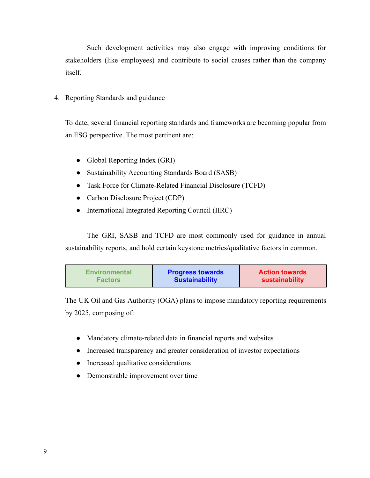Such development activities may also engage with improving conditions for stakeholders (like employees) and contribute to social causes rather than the company itself.

4. Reporting Standards and guidance

To date, several financial reporting standards and frameworks are becoming popular from an ESG perspective. The most pertinent are:

- Global Reporting Index (GRI)
- Sustainability Accounting Standards Board (SASB)
- Task Force for Climate-Related Financial Disclosure (TCFD)
- Carbon Disclosure Project (CDP)
- International Integrated Reporting Council (IIRC)

The GRI, SASB and TCFD are most commonly used for guidance in annual sustainability reports, and hold certain keystone metrics/qualitative factors in common.

| <b>Environmental</b> | <b>Progress towards</b> | <b>Action towards</b> |
|----------------------|-------------------------|-----------------------|
| <b>Factors</b>       | <b>Sustainability</b>   | sustainability        |

The UK Oil and Gas Authority (OGA) plans to impose mandatory reporting requirements by 2025, composing of:

- Mandatory climate-related data in financial reports and websites
- Increased transparency and greater consideration of investor expectations
- Increased qualitative considerations
- Demonstrable improvement over time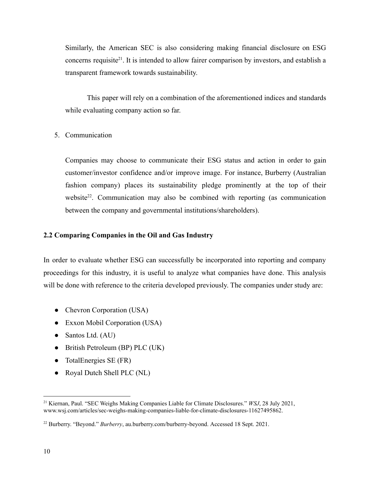Similarly, the American SEC is also considering making financial disclosure on ESG concerns requisite<sup>21</sup>. It is intended to allow fairer comparison by investors, and establish a transparent framework towards sustainability.

This paper will rely on a combination of the aforementioned indices and standards while evaluating company action so far.

#### 5. Communication

Companies may choose to communicate their ESG status and action in order to gain customer/investor confidence and/or improve image. For instance, Burberry (Australian fashion company) places its sustainability pledge prominently at the top of their website<sup>22</sup>. Communication may also be combined with reporting (as communication between the company and governmental institutions/shareholders).

#### **2.2 Comparing Companies in the Oil and Gas Industry**

In order to evaluate whether ESG can successfully be incorporated into reporting and company proceedings for this industry, it is useful to analyze what companies have done. This analysis will be done with reference to the criteria developed previously. The companies under study are:

- Chevron Corporation (USA)
- Exxon Mobil Corporation (USA)
- Santos Ltd. (AU)
- British Petroleum (BP) PLC (UK)
- $\bullet$  TotalEnergies SE (FR)
- Royal Dutch Shell PLC (NL)

<sup>21</sup> Kiernan, Paul. "SEC Weighs Making Companies Liable for Climate Disclosures." *WSJ*, 28 July 2021, www.wsj.com/articles/sec-weighs-making-companies-liable-for-climate-disclosures-11627495862.

<sup>22</sup> Burberry. "Beyond." *Burberry*, au.burberry.com/burberry-beyond. Accessed 18 Sept. 2021.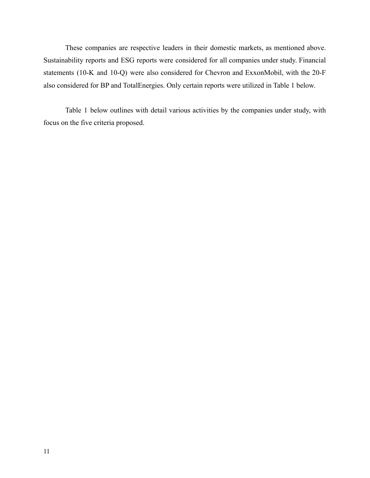These companies are respective leaders in their domestic markets, as mentioned above. Sustainability reports and ESG reports were considered for all companies under study. Financial statements (10-K and 10-Q) were also considered for Chevron and ExxonMobil, with the 20-F also considered for BP and TotalEnergies. Only certain reports were utilized in Table 1 below.

Table 1 below outlines with detail various activities by the companies under study, with focus on the five criteria proposed.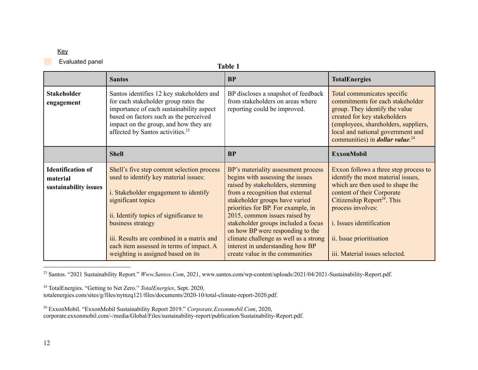## Key

Evaluated panel

| ٠n<br>Н |  |
|---------|--|
|         |  |

|                                                               | <b>Santos</b>                                                                                                                                                                                                                                                                                                                                     | <b>BP</b>                                                                                                                                                                                                                                                                                                                                                                                                                                           | <b>TotalEnergies</b>                                                                                                                                                                                                                                                                                           |
|---------------------------------------------------------------|---------------------------------------------------------------------------------------------------------------------------------------------------------------------------------------------------------------------------------------------------------------------------------------------------------------------------------------------------|-----------------------------------------------------------------------------------------------------------------------------------------------------------------------------------------------------------------------------------------------------------------------------------------------------------------------------------------------------------------------------------------------------------------------------------------------------|----------------------------------------------------------------------------------------------------------------------------------------------------------------------------------------------------------------------------------------------------------------------------------------------------------------|
| <b>Stakeholder</b><br>engagement                              | Santos identifies 12 key stakeholders and<br>for each stakeholder group rates the<br>importance of each sustainability aspect<br>based on factors such as the perceived<br>impact on the group, and how they are<br>affected by Santos activities. <sup>23</sup>                                                                                  | BP discloses a snapshot of feedback<br>from stakeholders on areas where<br>reporting could be improved.                                                                                                                                                                                                                                                                                                                                             | Total communicates specific<br>commitments for each stakeholder<br>group. They identify the value<br>created for key stakeholders<br>(employees, shareholders, suppliers,<br>local and national government and<br>communities) in <i>dollar value</i> . <sup>24</sup>                                          |
|                                                               | <b>Shell</b>                                                                                                                                                                                                                                                                                                                                      | <b>BP</b>                                                                                                                                                                                                                                                                                                                                                                                                                                           | <b>ExxonMobil</b>                                                                                                                                                                                                                                                                                              |
| <b>Identification of</b><br>material<br>sustainability issues | Shell's five step content selection process<br>used to identify key material issues:<br>i. Stakeholder engagement to identify<br>significant topics<br>ii. Identify topics of significance to<br>business strategy<br>iii. Results are combined in a matrix and<br>each item assessed in terms of impact. A<br>weighting is assigned based on its | BP's materiality assessment process<br>begins with assessing the issues<br>raised by stakeholders, stemming<br>from a recognition that external<br>stakeholder groups have varied<br>priorities for BP. For example, in<br>2015, common issues raised by<br>stakeholder groups included a focus<br>on how BP were responding to the<br>climate challenge as well as a strong<br>interest in understanding how BP<br>create value in the communities | Exxon follows a three step process to<br>identify the most material issues,<br>which are then used to shape the<br>content of their Corporate<br>Citizenship Report <sup>28</sup> . This<br>process involves:<br><i>i.</i> Issues identification<br>ii. Issue prioritisation<br>iii. Material issues selected. |

<sup>23</sup> Santos. "2021 Sustainability Report." *Www.Santos.Com*, 2021, www.santos.com/wp-content/uploads/2021/04/2021-Sustainability-Report.pdf.

<sup>24</sup> TotalEnergies. "Getting to Net Zero." *TotalEnergies*, Sept. 2020, totalenergies.com/sites/g/files/nytnzq121/files/documents/2020-10/total-climate-report-2020.pdf.

<sup>28</sup> ExxonMobil. "ExxonMobil Sustainability Report 2019." *Corporate.Exxonmobil.Com*, 2020, corporate.exxonmobil.com/-/media/Global/Files/sustainability-report/publication/Sustainability-Report.pdf.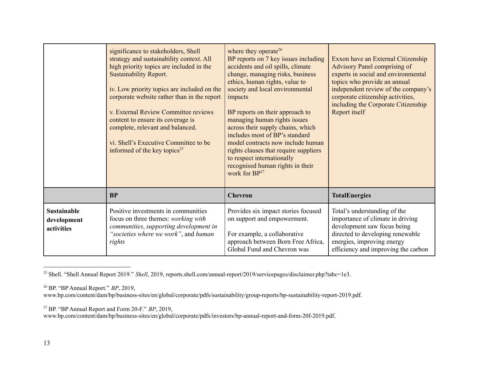|                                                 | significance to stakeholders, Shell<br>strategy and sustainability context. All<br>high priority topics are included in the<br><b>Sustainability Report.</b><br>iv. Low priority topics are included on the<br>corporate website rather than in the report<br>v. External Review Committee reviews<br>content to ensure its coverage is<br>complete, relevant and balanced.<br>vi. Shell's Executive Committee to be<br>informed of the key topics <sup>25</sup> | where they operate <sup>26</sup><br>BP reports on 7 key issues including<br>accidents and oil spills, climate<br>change, managing risks, business<br>ethics, human rights, value to<br>society and local environmental<br>impacts<br>BP reports on their approach to<br>managing human rights issues<br>across their supply chains, which<br>includes most of BP's standard<br>model contracts now include human<br>rights clauses that require suppliers<br>to respect internationally<br>recognised human rights in their<br>work for BP <sup>27</sup> | Exxon have an External Citizenship<br>Advisory Panel comprising of<br>experts in social and environmental<br>topics who provide an annual<br>independent review of the company's<br>corporate citizenship activities,<br>including the Corporate Citizenship<br>Report itself |
|-------------------------------------------------|------------------------------------------------------------------------------------------------------------------------------------------------------------------------------------------------------------------------------------------------------------------------------------------------------------------------------------------------------------------------------------------------------------------------------------------------------------------|----------------------------------------------------------------------------------------------------------------------------------------------------------------------------------------------------------------------------------------------------------------------------------------------------------------------------------------------------------------------------------------------------------------------------------------------------------------------------------------------------------------------------------------------------------|-------------------------------------------------------------------------------------------------------------------------------------------------------------------------------------------------------------------------------------------------------------------------------|
|                                                 | <b>BP</b>                                                                                                                                                                                                                                                                                                                                                                                                                                                        | <b>Chevron</b>                                                                                                                                                                                                                                                                                                                                                                                                                                                                                                                                           | <b>TotalEnergies</b>                                                                                                                                                                                                                                                          |
| <b>Sustainable</b><br>development<br>activities | Positive investments in communities<br>focus on three themes: working with<br>communities, supporting development in<br>"societies where we work", and human<br>rights                                                                                                                                                                                                                                                                                           | Provides six impact stories focused<br>on support and empowerment.<br>For example, a collaborative<br>approach between Born Free Africa,<br>Global Fund and Chevron was                                                                                                                                                                                                                                                                                                                                                                                  | Total's understanding of the<br>importance of climate in driving<br>development saw focus being<br>directed to developing renewable<br>energies, improving energy<br>efficiency and improving the carbon                                                                      |

<sup>&</sup>lt;sup>25</sup> Shell. "Shell Annual Report 2019." *Shell*, 2019, reports.shell.com/annual-report/2019/servicepages/disclaimer.php?tabc=1e3.

<sup>26</sup> BP. "BP Annual Report." *BP*, 2019,

www.bp.com/content/dam/bp/business-sites/en/global/corporate/pdfs/sustainability/group-reports/bp-sustainability-report-2019.pdf.

<sup>27</sup> BP. "BP Annual Report and Form 20-F." *BP*, 2019,

www.bp.com/content/dam/bp/business-sites/en/global/corporate/pdfs/investors/bp-annual-report-and-form-20f-2019.pdf.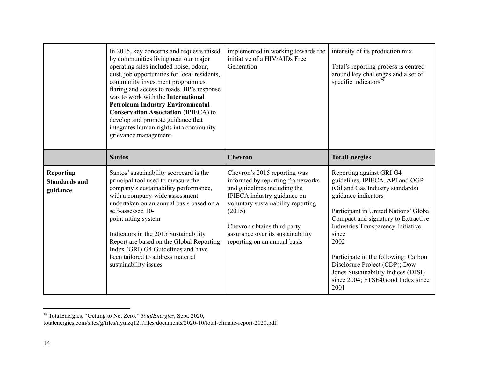|                                                      | In 2015, key concerns and requests raised<br>by communities living near our major<br>operating sites included noise, odour,<br>dust, job opportunities for local residents,<br>community investment programmes,<br>flaring and access to roads. BP's response<br>was to work with the International<br><b>Petroleum Industry Environmental</b><br><b>Conservation Association (IPIECA) to</b><br>develop and promote guidance that<br>integrates human rights into community<br>grievance management. | implemented in working towards the<br>initiative of a HIV/AIDs Free<br>Generation                                                                                                                                                                                                   | intensity of its production mix<br>Total's reporting process is centred<br>around key challenges and a set of<br>specific indicators <sup>29</sup>                                                                                                                                                                                                                                                                         |
|------------------------------------------------------|-------------------------------------------------------------------------------------------------------------------------------------------------------------------------------------------------------------------------------------------------------------------------------------------------------------------------------------------------------------------------------------------------------------------------------------------------------------------------------------------------------|-------------------------------------------------------------------------------------------------------------------------------------------------------------------------------------------------------------------------------------------------------------------------------------|----------------------------------------------------------------------------------------------------------------------------------------------------------------------------------------------------------------------------------------------------------------------------------------------------------------------------------------------------------------------------------------------------------------------------|
|                                                      | <b>Santos</b>                                                                                                                                                                                                                                                                                                                                                                                                                                                                                         | <b>Chevron</b>                                                                                                                                                                                                                                                                      | <b>TotalEnergies</b>                                                                                                                                                                                                                                                                                                                                                                                                       |
| <b>Reporting</b><br><b>Standards and</b><br>guidance | Santos' sustainability scorecard is the<br>principal tool used to measure the<br>company's sustainability performance,<br>with a company-wide assessment<br>undertaken on an annual basis based on a<br>self-assessed 10-<br>point rating system<br>Indicators in the 2015 Sustainability<br>Report are based on the Global Reporting<br>Index (GRI) G4 Guidelines and have<br>been tailored to address material<br>sustainability issues                                                             | Chevron's 2015 reporting was<br>informed by reporting frameworks<br>and guidelines including the<br>IPIECA industry guidance on<br>voluntary sustainability reporting<br>(2015)<br>Chevron obtains third party<br>assurance over its sustainability<br>reporting on an annual basis | Reporting against GRI G4<br>guidelines, IPIECA, API and OGP<br>(Oil and Gas Industry standards)<br>guidance indicators<br>Participant in United Nations' Global<br>Compact and signatory to Extractive<br>Industries Transparency Initiative<br>since<br>2002<br>Participate in the following: Carbon<br>Disclosure Project (CDP); Dow<br>Jones Sustainability Indices (DJSI)<br>since 2004; FTSE4Good Index since<br>2001 |

<sup>29</sup> TotalEnergies. "Getting to Net Zero." *TotalEnergies*, Sept. 2020, totalenergies.com/sites/g/files/nytnzq121/files/documents/2020-10/total-climate-report-2020.pdf.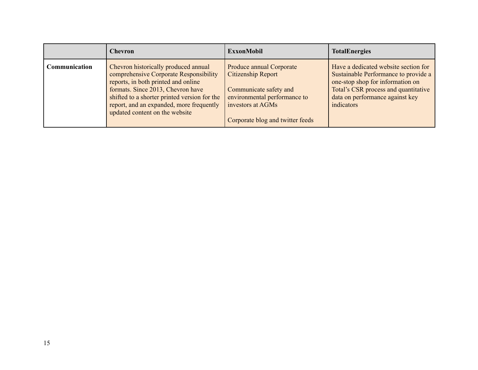|               | <b>Chevron</b>                                                                                                                                                                                                                                                                           | <b>ExxonMobil</b>                                                                                                                                                        | <b>TotalEnergies</b>                                                                                                                                                                                      |
|---------------|------------------------------------------------------------------------------------------------------------------------------------------------------------------------------------------------------------------------------------------------------------------------------------------|--------------------------------------------------------------------------------------------------------------------------------------------------------------------------|-----------------------------------------------------------------------------------------------------------------------------------------------------------------------------------------------------------|
| Communication | Chevron historically produced annual<br>comprehensive Corporate Responsibility<br>reports, in both printed and online<br>formats. Since 2013, Chevron have<br>shifted to a shorter printed version for the<br>report, and an expanded, more frequently<br>updated content on the website | Produce annual Corporate<br><b>Citizenship Report</b><br>Communicate safety and<br>environmental performance to<br>investors at AGMs<br>Corporate blog and twitter feeds | Have a dedicated website section for<br>Sustainable Performance to provide a<br>one-stop shop for information on<br>Total's CSR process and quantitative<br>data on performance against key<br>indicators |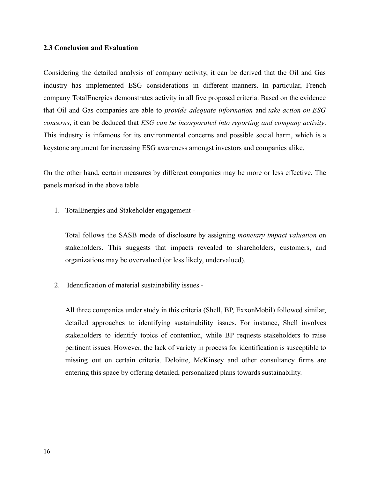#### **2.3 Conclusion and Evaluation**

Considering the detailed analysis of company activity, it can be derived that the Oil and Gas industry has implemented ESG considerations in different manners. In particular, French company TotalEnergies demonstrates activity in all five proposed criteria. Based on the evidence that Oil and Gas companies are able to *provide adequate information* and *take action on ESG concerns*, it can be deduced that *ESG can be incorporated into reporting and company activity*. This industry is infamous for its environmental concerns and possible social harm, which is a keystone argument for increasing ESG awareness amongst investors and companies alike.

On the other hand, certain measures by different companies may be more or less effective. The panels marked in the above table

1. TotalEnergies and Stakeholder engagement -

Total follows the SASB mode of disclosure by assigning *monetary impact valuation* on stakeholders. This suggests that impacts revealed to shareholders, customers, and organizations may be overvalued (or less likely, undervalued).

2. Identification of material sustainability issues -

All three companies under study in this criteria (Shell, BP, ExxonMobil) followed similar, detailed approaches to identifying sustainability issues. For instance, Shell involves stakeholders to identify topics of contention, while BP requests stakeholders to raise pertinent issues. However, the lack of variety in process for identification is susceptible to missing out on certain criteria. Deloitte, McKinsey and other consultancy firms are entering this space by offering detailed, personalized plans towards sustainability.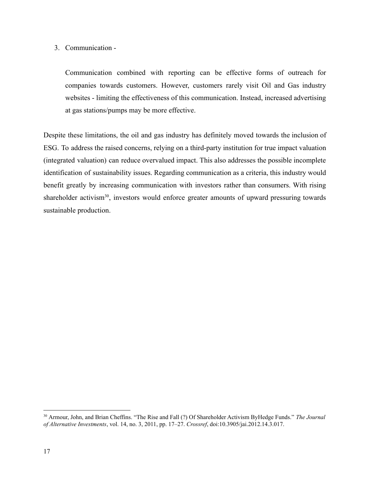## 3. Communication -

Communication combined with reporting can be effective forms of outreach for companies towards customers. However, customers rarely visit Oil and Gas industry websites - limiting the effectiveness of this communication. Instead, increased advertising at gas stations/pumps may be more effective.

Despite these limitations, the oil and gas industry has definitely moved towards the inclusion of ESG. To address the raised concerns, relying on a third-party institution for true impact valuation (integrated valuation) can reduce overvalued impact. This also addresses the possible incomplete identification of sustainability issues. Regarding communication as a criteria, this industry would benefit greatly by increasing communication with investors rather than consumers. With rising shareholder activism<sup>30</sup>, investors would enforce greater amounts of upward pressuring towards sustainable production.

<sup>30</sup> Armour, John, and Brian Cheffins. "The Rise and Fall (?) Of Shareholder Activism ByHedge Funds." *The Journal of Alternative Investments*, vol. 14, no. 3, 2011, pp. 17–27. *Crossref*, doi:10.3905/jai.2012.14.3.017.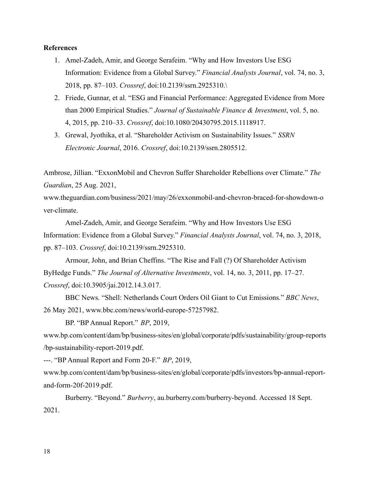#### **References**

- 1. Amel-Zadeh, Amir, and George Serafeim. "Why and How Investors Use ESG Information: Evidence from a Global Survey." *Financial Analysts Journal*, vol. 74, no. 3, 2018, pp. 87–103. *Crossref*, doi:10.2139/ssrn.2925310.\
- 2. Friede, Gunnar, et al. "ESG and Financial Performance: Aggregated Evidence from More than 2000 Empirical Studies." *Journal of Sustainable Finance & Investment*, vol. 5, no. 4, 2015, pp. 210–33. *Crossref*, doi:10.1080/20430795.2015.1118917.
- 3. Grewal, Jyothika, et al. "Shareholder Activism on Sustainability Issues." *SSRN Electronic Journal*, 2016. *Crossref*, doi:10.2139/ssrn.2805512.

Ambrose, Jillian. "ExxonMobil and Chevron Suffer Shareholder Rebellions over Climate." *The Guardian*, 25 Aug. 2021,

www.theguardian.com/business/2021/may/26/exxonmobil-and-chevron-braced-for-showdown-o ver-climate.

Amel-Zadeh, Amir, and George Serafeim. "Why and How Investors Use ESG Information: Evidence from a Global Survey." *Financial Analysts Journal*, vol. 74, no. 3, 2018, pp. 87–103. *Crossref*, doi:10.2139/ssrn.2925310.

Armour, John, and Brian Cheffins. "The Rise and Fall (?) Of Shareholder Activism ByHedge Funds." *The Journal of Alternative Investments*, vol. 14, no. 3, 2011, pp. 17–27. *Crossref*, doi:10.3905/jai.2012.14.3.017.

BBC News. "Shell: Netherlands Court Orders Oil Giant to Cut Emissions." *BBC News*, 26 May 2021, www.bbc.com/news/world-europe-57257982.

BP. "BP Annual Report." *BP*, 2019,

www.bp.com/content/dam/bp/business-sites/en/global/corporate/pdfs/sustainability/group-reports /bp-sustainability-report-2019.pdf.

---. "BP Annual Report and Form 20-F." *BP*, 2019,

www.bp.com/content/dam/bp/business-sites/en/global/corporate/pdfs/investors/bp-annual-reportand-form-20f-2019.pdf.

Burberry. "Beyond." *Burberry*, au.burberry.com/burberry-beyond. Accessed 18 Sept. 2021.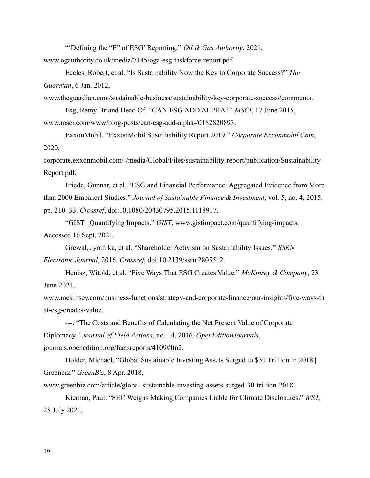"'Defining the "E" of ESG' Reporting." *Oil & Gas Authority*, 2021,

www.ogauthority.co.uk/media/7145/oga-esg-taskforce-report.pdf.

Eccles, Robert, et al. "Is Sustainability Now the Key to Corporate Success?" *The Guardian*, 6 Jan. 2012,

www.theguardian.com/sustainable-business/sustainability-key-corporate-success#comments.

Esg, Remy Briand Head Of. "CAN ESG ADD ALPHA?" *MSCI*, 17 June 2015, www.msci.com/www/blog-posts/can-esg-add-alpha-/0182820893.

ExxonMobil. "ExxonMobil Sustainability Report 2019." *Corporate.Exxonmobil.Com*, 2020,

corporate.exxonmobil.com/-/media/Global/Files/sustainability-report/publication/Sustainability-Report.pdf.

Friede, Gunnar, et al. "ESG and Financial Performance: Aggregated Evidence from More than 2000 Empirical Studies." *Journal of Sustainable Finance & Investment*, vol. 5, no. 4, 2015, pp. 210–33. *Crossref*, doi:10.1080/20430795.2015.1118917.

"GIST | Quantifying Impacts." *GIST*, www.gistimpact.com/quantifying-impacts. Accessed 16 Sept. 2021.

Grewal, Jyothika, et al. "Shareholder Activism on Sustainability Issues." *SSRN Electronic Journal*, 2016. *Crossref*, doi:10.2139/ssrn.2805512.

Henisz, Witold, et al. "Five Ways That ESG Creates Value." *McKinsey & Company*, 23 June 2021,

www.mckinsey.com/business-functions/strategy-and-corporate-finance/our-insights/five-ways-th at-esg-creates-value.

---. "The Costs and Benefits of Calculating the Net Present Value of Corporate Diplomacy." *Journal of Field Actions*, no. 14, 2016. *OpenEditionJournals*, journals.openedition.org/factsreports/4109#ftn2.

Holder, Michael. "Global Sustainable Investing Assets Surged to \$30 Trillion in 2018 | Greenbiz." *GreenBiz*, 8 Apr. 2018,

www.greenbiz.com/article/global-sustainable-investing-assets-surged-30-trillion-2018.

Kiernan, Paul. "SEC Weighs Making Companies Liable for Climate Disclosures." *WSJ*, 28 July 2021,